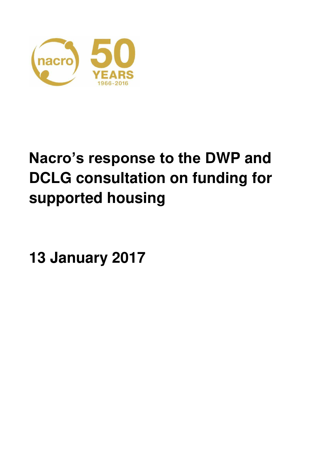

# **Nacro's response to the DWP and DCLG consultation on funding for supported housing**

**13 January 2017**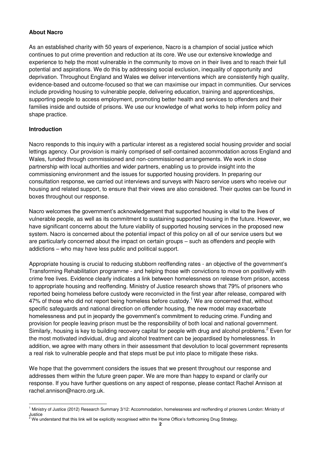## **About Nacro**

As an established charity with 50 years of experience, Nacro is a champion of social justice which continues to put crime prevention and reduction at its core. We use our extensive knowledge and experience to help the most vulnerable in the community to move on in their lives and to reach their full potential and aspirations. We do this by addressing social exclusion, inequality of opportunity and deprivation. Throughout England and Wales we deliver interventions which are consistently high quality, evidence-based and outcome-focused so that we can maximise our impact in communities. Our services include providing housing to vulnerable people, delivering education, training and apprenticeships, supporting people to access employment, promoting better health and services to offenders and their families inside and outside of prisons. We use our knowledge of what works to help inform policy and shape practice.

#### **Introduction**

l

Nacro responds to this inquiry with a particular interest as a registered social housing provider and social lettings agency. Our provision is mainly comprised of self-contained accommodation across England and Wales, funded through commissioned and non-commissioned arrangements. We work in close partnership with local authorities and wider partners, enabling us to provide insight into the commissioning environment and the issues for supported housing providers. In preparing our consultation response, we carried out interviews and surveys with Nacro service users who receive our housing and related support, to ensure that their views are also considered. Their quotes can be found in boxes throughout our response.

Nacro welcomes the government's acknowledgement that supported housing is vital to the lives of vulnerable people, as well as its commitment to sustaining supported housing in the future. However, we have significant concerns about the future viability of supported housing services in the proposed new system. Nacro is concerned about the potential impact of this policy on all of our service users but we are particularly concerned about the impact on certain groups – such as offenders and people with addictions – who may have less public and political support.

Appropriate housing is crucial to reducing stubborn reoffending rates - an objective of the government's Transforming Rehabilitation programme - and helping those with convictions to move on positively with crime free lives. Evidence clearly indicates a link between homelessness on release from prison, access to appropriate housing and reoffending. Ministry of Justice research shows that 79% of prisoners who reported being homeless before custody were reconvicted in the first year after release, compared with 47% of those who did not report being homeless before custody.<sup>1</sup> We are concerned that, without specific safeguards and national direction on offender housing, the new model may exacerbate homelessness and put in jeopardy the government's commitment to reducing crime. Funding and provision for people leaving prison must be the responsibility of both local and national government. Similarly, housing is key to building recovery capital for people with drug and alcohol problems.<sup>2</sup> Even for the most motivated individual, drug and alcohol treatment can be jeopardised by homelessness. In addition, we agree with many others in their assessment that devolution to local government represents a real risk to vulnerable people and that steps must be put into place to mitigate these risks.

We hope that the government considers the issues that we present throughout our response and addresses them within the future green paper. We are more than happy to expand or clarify our response. If you have further questions on any aspect of response, please contact Rachel Annison at rachel.annison@nacro.org.uk.

<sup>&</sup>lt;sup>1</sup> Ministry of Justice (2012) Research Summary 3/12: Accommodation, homelessness and reoffending of prisoners London: Ministry of Justice

<sup>2</sup> We understand that this link will be explicitly recognised within the Home Office's forthcoming Drug Strategy.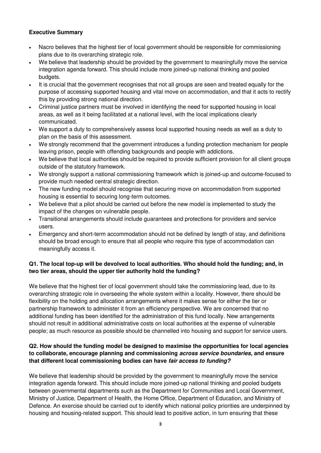## **Executive Summary**

- Nacro believes that the highest tier of local government should be responsible for commissioning plans due to its overarching strategic role.
- We believe that leadership should be provided by the government to meaningfully move the service integration agenda forward. This should include more joined-up national thinking and pooled budgets.
- It is crucial that the government recognises that not all groups are seen and treated equally for the purpose of accessing supported housing and vital move on accommodation, and that it acts to rectify this by providing strong national direction.
- Criminal justice partners must be involved in identifying the need for supported housing in local areas, as well as it being facilitated at a national level, with the local implications clearly communicated.
- We support a duty to comprehensively assess local supported housing needs as well as a duty to plan on the basis of this assessment.
- We strongly recommend that the government introduces a funding protection mechanism for people leaving prison, people with offending backgrounds and people with addictions.
- We believe that local authorities should be required to provide sufficient provision for all client groups outside of the statutory framework.
- We strongly support a national commissioning framework which is joined-up and outcome-focused to provide much needed central strategic direction.
- The new funding model should recognise that securing move on accommodation from supported housing is essential to securing long-term outcomes.
- We believe that a pilot should be carried out before the new model is implemented to study the impact of the changes on vulnerable people.
- Transitional arrangements should include guarantees and protections for providers and service users.
- Emergency and short-term accommodation should not be defined by length of stay, and definitions should be broad enough to ensure that all people who require this type of accommodation can meaningfully access it.

# **Q1. The local top-up will be devolved to local authorities. Who should hold the funding; and, in two tier areas, should the upper tier authority hold the funding?**

We believe that the highest tier of local government should take the commissioning lead, due to its overarching strategic role in overseeing the whole system within a locality. However, there should be flexibility on the holding and allocation arrangements where it makes sense for either the tier or partnership framework to administer it from an efficiency perspective. We are concerned that no additional funding has been identified for the administration of this fund locally. New arrangements should not result in additional administrative costs on local authorities at the expense of vulnerable people; as much resource as possible should be channelled into housing and support for service users.

# **Q2. How should the funding model be designed to maximise the opportunities for local agencies to collaborate, encourage planning and commissioning** *across service boundaries***, and ensure that different local commissioning bodies can have** *fair access to funding?*

We believe that leadership should be provided by the government to meaningfully move the service integration agenda forward. This should include more joined-up national thinking and pooled budgets between governmental departments such as the Department for Communities and Local Government, Ministry of Justice, Department of Health, the Home Office, Department of Education, and Ministry of Defence. An exercise should be carried out to identify which national policy priorities are underpinned by housing and housing-related support. This should lead to positive action, in turn ensuring that these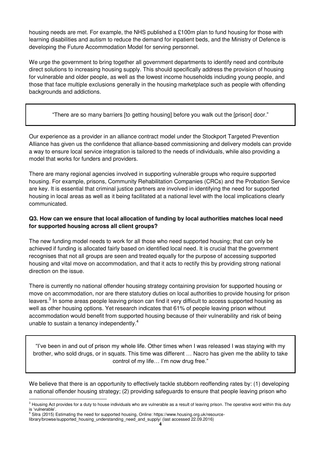housing needs are met. For example, the NHS published a £100m plan to fund housing for those with learning disabilities and autism to reduce the demand for inpatient beds, and the Ministry of Defence is developing the Future Accommodation Model for serving personnel.

We urge the government to bring together all government departments to identify need and contribute direct solutions to increasing housing supply. This should specifically address the provision of housing for vulnerable and older people, as well as the lowest income households including young people, and those that face multiple exclusions generally in the housing marketplace such as people with offending backgrounds and addictions.

"There are so many barriers [to getting housing] before you walk out the [prison] door."

Our experience as a provider in an alliance contract model under the Stockport Targeted Prevention Alliance has given us the confidence that alliance-based commissioning and delivery models can provide a way to ensure local service integration is tailored to the needs of individuals, while also providing a model that works for funders and providers.

There are many regional agencies involved in supporting vulnerable groups who require supported housing. For example, prisons, Community Rehabilitation Companies (CRCs) and the Probation Service are key. It is essential that criminal justice partners are involved in identifying the need for supported housing in local areas as well as it being facilitated at a national level with the local implications clearly communicated.

# **Q3. How can we ensure that local allocation of funding by local authorities matches local need for supported housing across all client groups?**

The new funding model needs to work for all those who need supported housing; that can only be achieved if funding is allocated fairly based on identified local need. It is crucial that the government recognises that not all groups are seen and treated equally for the purpose of accessing supported housing and vital move on accommodation, and that it acts to rectify this by providing strong national direction on the issue.

There is currently no national offender housing strategy containing provision for supported housing or move on accommodation, nor are there statutory duties on local authorities to provide housing for prison leavers. $^3$  In some areas people leaving prison can find it very difficult to access supported housing as well as other housing options. Yet research indicates that 61% of people leaving prison without accommodation would benefit from supported housing because of their vulnerability and risk of being unable to sustain a tenancy independently.<sup>4</sup>

"I've been in and out of prison my whole life. Other times when I was released I was staying with my brother, who sold drugs, or in squats. This time was different … Nacro has given me the ability to take control of my life… I'm now drug free."

We believe that there is an opportunity to effectively tackle stubborn reoffending rates by: (1) developing a national offender housing strategy; (2) providing safeguards to ensure that people leaving prison who  $\overline{a}$ 

 $3$  Housing Act provides for a duty to house individuals who are vulnerable as a result of leaving prison. The operative word within this duty is 'vulnerable'.<br><sup>4</sup> Sitre (2015) l

Sitra (2015) Estimating the need for supported housing, Online: https://www.housing.org.uk/resource-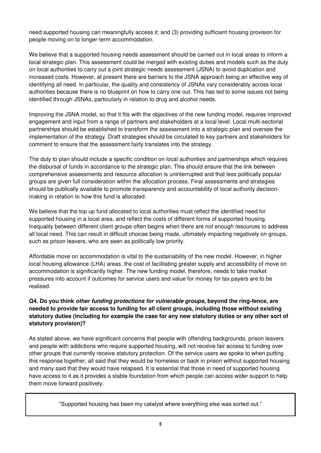need supported housing can meaningfully access it; and (3) providing sufficient housing provision for people moving on to longer-term accommodation.

We believe that a supported housing needs assessment should be carried out in local areas to inform a local strategic plan. This assessment could be merged with existing duties and models such as the duty on local authorities to carry out a joint strategic needs assessment (JSNA) to avoid duplication and increased costs. However, at present there are barriers to the JSNA approach being an effective way of identifying all need. In particular, the quality and consistency of JSNAs vary considerably across local authorities because there is no blueprint on how to carry one out. This has led to some issues not being identified through JSNAs, particularly in relation to drug and alcohol needs.

Improving the JSNA model, so that it fits with the objectives of the new funding model, requires improved engagement and input from a range of partners and stakeholders at a local level. Local multi-sectorial partnerships should be established to transform the assessment into a strategic plan and oversee the implementation of the strategy. Draft strategies should be circulated to key partners and stakeholders for comment to ensure that the assessment fairly translates into the strategy.

The duty to plan should include a specific condition on local authorities and partnerships which requires the disbursal of funds in accordance to the strategic plan. This should ensure that the link between comprehensive assessments and resource allocation is uninterrupted and that less politically popular groups are given full consideration within the allocation process. Final assessments and strategies should be publically available to promote transparency and accountability of local authority decisionmaking in relation to how this fund is allocated.

We believe that the top up fund allocated to local authorities must reflect the identified need for supported housing in a local area, and reflect the costs of different forms of supported housing. Inequality between different client groups often begins when there are not enough resources to address all local need. This can result in difficult choices being made, ultimately impacting negatively on groups, such as prison leavers, who are seen as politically low priority.

Affordable move on accommodation is vital to the sustainability of the new model. However, in higher local housing allowance (LHA) areas, the cost of facilitating greater supply and accessibility of move on accommodation is significantly higher. The new funding model, therefore, needs to take market pressures into account if outcomes for service users and value for money for tax payers are to be realised.

# **Q4. Do you think** *other funding protections for vulnerable groups***, beyond the ring-fence, are needed to provide fair access to funding for all client groups, including those without existing statutory duties (including for example the case for any new statutory duties or any other sort of statutory provision)?**

As stated above, we have significant concerns that people with offending backgrounds, prison leavers and people with addictions who require supported housing, will not receive fair access to funding over other groups that currently receive statutory protection. Of the service users we spoke to when putting this response together, all said that they would be homeless or back in prison without supported housing and many said that they would have relapsed. It is essential that those in need of supported housing have access to it as it provides a stable foundation from which people can access wider support to help them move forward positively.

"Supported housing has been my catalyst where everything else was sorted out."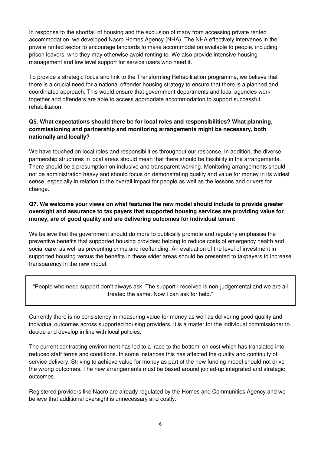In response to the shortfall of housing and the exclusion of many from accessing private rented accommodation, we developed Nacro Homes Agency (NHA). The NHA effectively intervenes in the private rented sector to encourage landlords to make accommodation available to people, including prison leavers, who they may otherwise avoid renting to. We also provide intensive housing management and low level support for service users who need it.

To provide a strategic focus and link to the Transforming Rehabilitation programme, we believe that there is a crucial need for a national offender housing strategy to ensure that there is a planned and coordinated approach. This would ensure that government departments and local agencies work together and offenders are able to access appropriate accommodation to support successful rehabilitation.

## **Q5. What expectations should there be for local roles and responsibilities? What planning, commissioning and partnership and monitoring arrangements might be necessary, both nationally and locally?**

We have touched on local roles and responsibilities throughout our response. In addition, the diverse partnership structures in local areas should mean that there should be flexibility in the arrangements. There should be a presumption on inclusive and transparent working. Monitoring arrangements should not be administration heavy and should focus on demonstrating quality and value for money in its widest sense, especially in relation to the overall impact for people as well as the lessons and drivers for change.

# **Q7. We welcome your views on what features the new model should include to provide greater oversight and assurance to tax payers that supported housing services are providing value for money, are of good quality and are delivering outcomes for individual tenant**

We believe that the government should do more to publically promote and regularly emphasise the preventive benefits that supported housing provides; helping to reduce costs of emergency health and social care, as well as preventing crime and reoffending. An evaluation of the level of investment in supported housing versus the benefits in these wider areas should be presented to taxpayers to increase transparency in the new model.

"People who need support don't always ask. The support I received is non-judgemental and we are all treated the same. Now I can ask for help."

Currently there is no consistency in measuring value for money as well as delivering good quality and individual outcomes across supported housing providers. It is a matter for the individual commissioner to decide and develop in line with local policies.

The current contracting environment has led to a 'race to the bottom' on cost which has translated into reduced staff terms and conditions. In some instances this has affected the quality and continuity of service delivery. Striving to achieve value for money as part of the new funding model should not drive the wrong outcomes. The new arrangements must be based around joined-up integrated and strategic outcomes.

Registered providers like Nacro are already regulated by the Homes and Communities Agency and we believe that additional oversight is unnecessary and costly.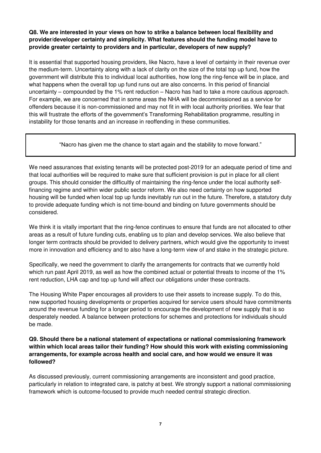## **Q8. We are interested in your views on how to strike a balance between local flexibility and provider/developer certainty and simplicity. What features should the funding model have to provide greater certainty to providers and in particular, developers of new supply?**

It is essential that supported housing providers, like Nacro, have a level of certainty in their revenue over the medium-term. Uncertainty along with a lack of clarity on the size of the total top up fund, how the government will distribute this to individual local authorities, how long the ring-fence will be in place, and what happens when the overall top up fund runs out are also concerns. In this period of financial uncertainty – compounded by the 1% rent reduction – Nacro has had to take a more cautious approach. For example, we are concerned that in some areas the NHA will be decommissioned as a service for offenders because it is non-commissioned and may not fit in with local authority priorities. We fear that this will frustrate the efforts of the government's Transforming Rehabilitation programme, resulting in instability for those tenants and an increase in reoffending in these communities.

"Nacro has given me the chance to start again and the stability to move forward."

We need assurances that existing tenants will be protected post-2019 for an adequate period of time and that local authorities will be required to make sure that sufficient provision is put in place for all client groups. This should consider the difficultly of maintaining the ring-fence under the local authority selffinancing regime and within wider public sector reform. We also need certainty on how supported housing will be funded when local top up funds inevitably run out in the future. Therefore, a statutory duty to provide adequate funding which is not time-bound and binding on future governments should be considered.

We think it is vitally important that the ring-fence continues to ensure that funds are not allocated to other areas as a result of future funding cuts, enabling us to plan and develop services. We also believe that longer term contracts should be provided to delivery partners, which would give the opportunity to invest more in innovation and efficiency and to also have a long-term view of and stake in the strategic picture.

Specifically, we need the government to clarify the arrangements for contracts that we currently hold which run past April 2019, as well as how the combined actual or potential threats to income of the 1% rent reduction, LHA cap and top up fund will affect our obligations under these contracts.

The Housing White Paper encourages all providers to use their assets to increase supply. To do this, new supported housing developments or properties acquired for service users should have commitments around the revenue funding for a longer period to encourage the development of new supply that is so desperately needed. A balance between protections for schemes and protections for individuals should be made.

## **Q9. Should there be a national statement of expectations or national commissioning framework within which local areas tailor their funding? How should this work with existing commissioning arrangements, for example across health and social care, and how would we ensure it was followed?**

As discussed previously, current commissioning arrangements are inconsistent and good practice, particularly in relation to integrated care, is patchy at best. We strongly support a national commissioning framework which is outcome-focused to provide much needed central strategic direction.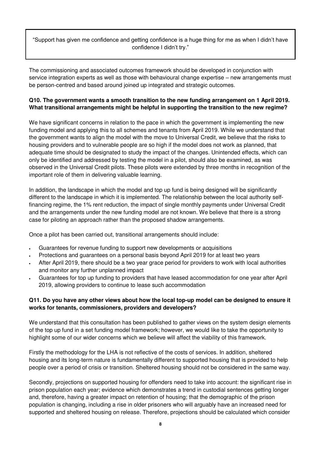"Support has given me confidence and getting confidence is a huge thing for me as when I didn't have confidence I didn't try."

The commissioning and associated outcomes framework should be developed in conjunction with service integration experts as well as those with behavioural change expertise – new arrangements must be person-centred and based around joined up integrated and strategic outcomes.

# **Q10. The government wants a smooth transition to the new funding arrangement on 1 April 2019. What transitional arrangements might be helpful in supporting the transition to the new regime?**

We have significant concerns in relation to the pace in which the government is implementing the new funding model and applying this to all schemes and tenants from April 2019. While we understand that the government wants to align the model with the move to Universal Credit, we believe that the risks to housing providers and to vulnerable people are so high if the model does not work as planned, that adequate time should be designated to study the impact of the changes. Unintended effects, which can only be identified and addressed by testing the model in a pilot, should also be examined, as was observed in the Universal Credit pilots. These pilots were extended by three months in recognition of the important role of them in delivering valuable learning.

In addition, the landscape in which the model and top up fund is being designed will be significantly different to the landscape in which it is implemented. The relationship between the local authority selffinancing regime, the 1% rent reduction, the impact of single monthly payments under Universal Credit and the arrangements under the new funding model are not known. We believe that there is a strong case for piloting an approach rather than the proposed shadow arrangements.

Once a pilot has been carried out, transitional arrangements should include:

- Guarantees for revenue funding to support new developments or acquisitions
- Protections and guarantees on a personal basis beyond April 2019 for at least two years
- After April 2019, there should be a two year grace period for providers to work with local authorities and monitor any further unplanned impact
- Guarantees for top up funding to providers that have leased accommodation for one year after April 2019, allowing providers to continue to lease such accommodation

#### **Q11. Do you have any other views about how the local top-up model can be designed to ensure it works for tenants, commissioners, providers and developers?**

We understand that this consultation has been published to gather views on the system design elements of the top up fund in a set funding model framework; however, we would like to take the opportunity to highlight some of our wider concerns which we believe will affect the viability of this framework.

Firstly the methodology for the LHA is not reflective of the costs of services. In addition, sheltered housing and its long-term nature is fundamentally different to supported housing that is provided to help people over a period of crisis or transition. Sheltered housing should not be considered in the same way.

Secondly, projections on supported housing for offenders need to take into account: the significant rise in prison population each year; evidence which demonstrates a trend in custodial sentences getting longer and, therefore, having a greater impact on retention of housing; that the demographic of the prison population is changing, including a rise in older prisoners who will arguably have an increased need for supported and sheltered housing on release. Therefore, projections should be calculated which consider